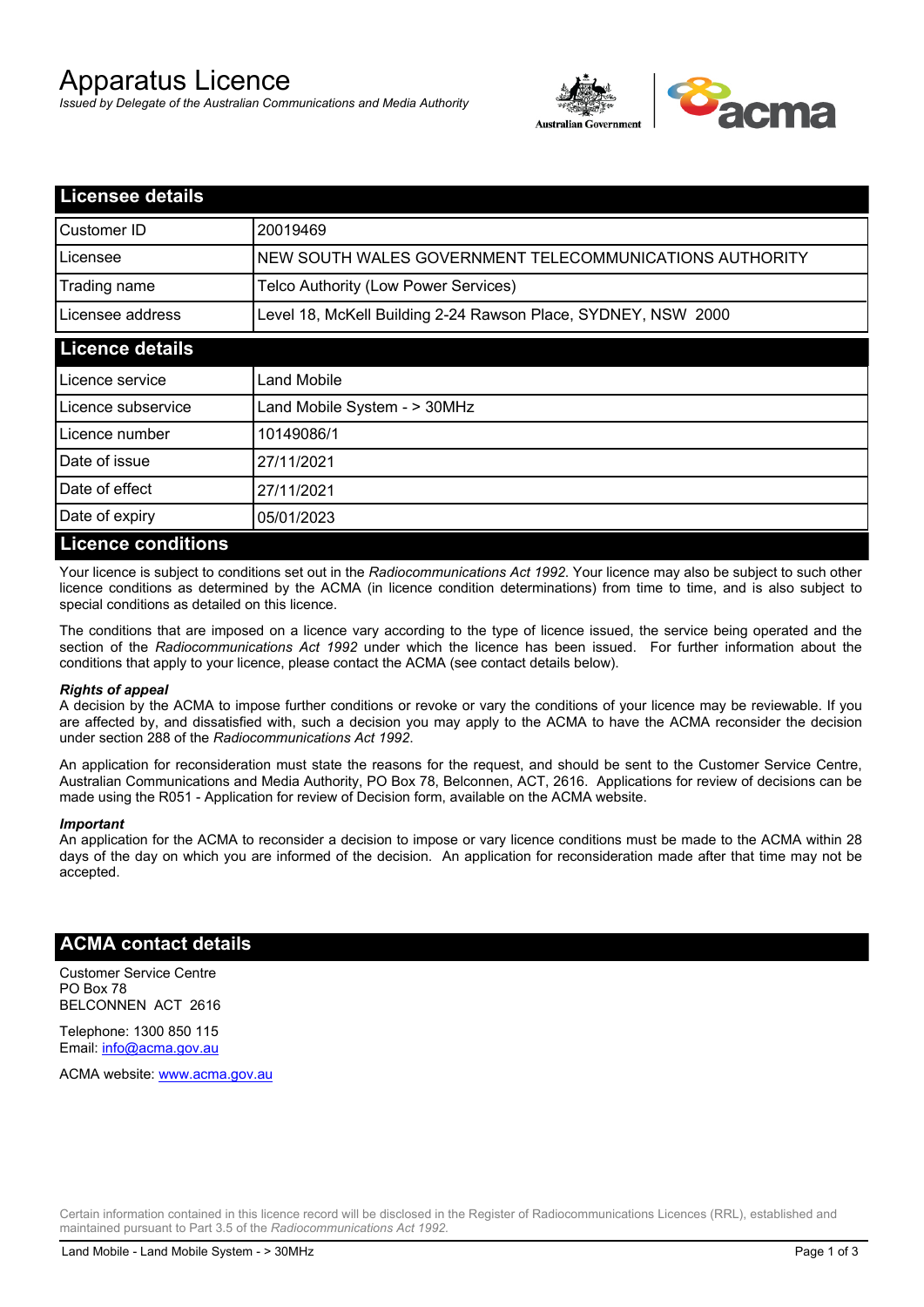# Apparatus Licence

*Issued by Delegate of the Australian Communications and Media Authority*



| <b>Licensee details</b>   |                                                               |  |
|---------------------------|---------------------------------------------------------------|--|
| Customer ID               | 20019469                                                      |  |
| Licensee                  | NEW SOUTH WALES GOVERNMENT TELECOMMUNICATIONS AUTHORITY       |  |
| Trading name              | Telco Authority (Low Power Services)                          |  |
| Licensee address          | Level 18, McKell Building 2-24 Rawson Place, SYDNEY, NSW 2000 |  |
| <b>Licence details</b>    |                                                               |  |
| Licence service           | Land Mobile                                                   |  |
| Licence subservice        | Land Mobile System - > 30MHz                                  |  |
| Licence number            | 10149086/1                                                    |  |
| Date of issue             | 27/11/2021                                                    |  |
| Date of effect            | 27/11/2021                                                    |  |
| Date of expiry            | 05/01/2023                                                    |  |
| <b>Licence conditions</b> |                                                               |  |

Your licence is subject to conditions set out in the *Radiocommunications Act 1992*. Your licence may also be subject to such other licence conditions as determined by the ACMA (in licence condition determinations) from time to time, and is also subject to special conditions as detailed on this licence.

The conditions that are imposed on a licence vary according to the type of licence issued, the service being operated and the section of the *Radiocommunications Act 1992* under which the licence has been issued. For further information about the conditions that apply to your licence, please contact the ACMA (see contact details below).

#### *Rights of appeal*

A decision by the ACMA to impose further conditions or revoke or vary the conditions of your licence may be reviewable. If you are affected by, and dissatisfied with, such a decision you may apply to the ACMA to have the ACMA reconsider the decision under section 288 of the *Radiocommunications Act 1992*.

An application for reconsideration must state the reasons for the request, and should be sent to the Customer Service Centre, Australian Communications and Media Authority, PO Box 78, Belconnen, ACT, 2616. Applications for review of decisions can be made using the R051 - Application for review of Decision form, available on the ACMA website.

#### *Important*

An application for the ACMA to reconsider a decision to impose or vary licence conditions must be made to the ACMA within 28 days of the day on which you are informed of the decision. An application for reconsideration made after that time may not be accepted.

### **ACMA contact details**

Customer Service Centre PO Box 78 BELCONNEN ACT 2616

Telephone: 1300 850 115 Email: info@acma.gov.au

ACMA website: www.acma.gov.au

Certain information contained in this licence record will be disclosed in the Register of Radiocommunications Licences (RRL), established and maintained pursuant to Part 3.5 of the *Radiocommunications Act 1992.*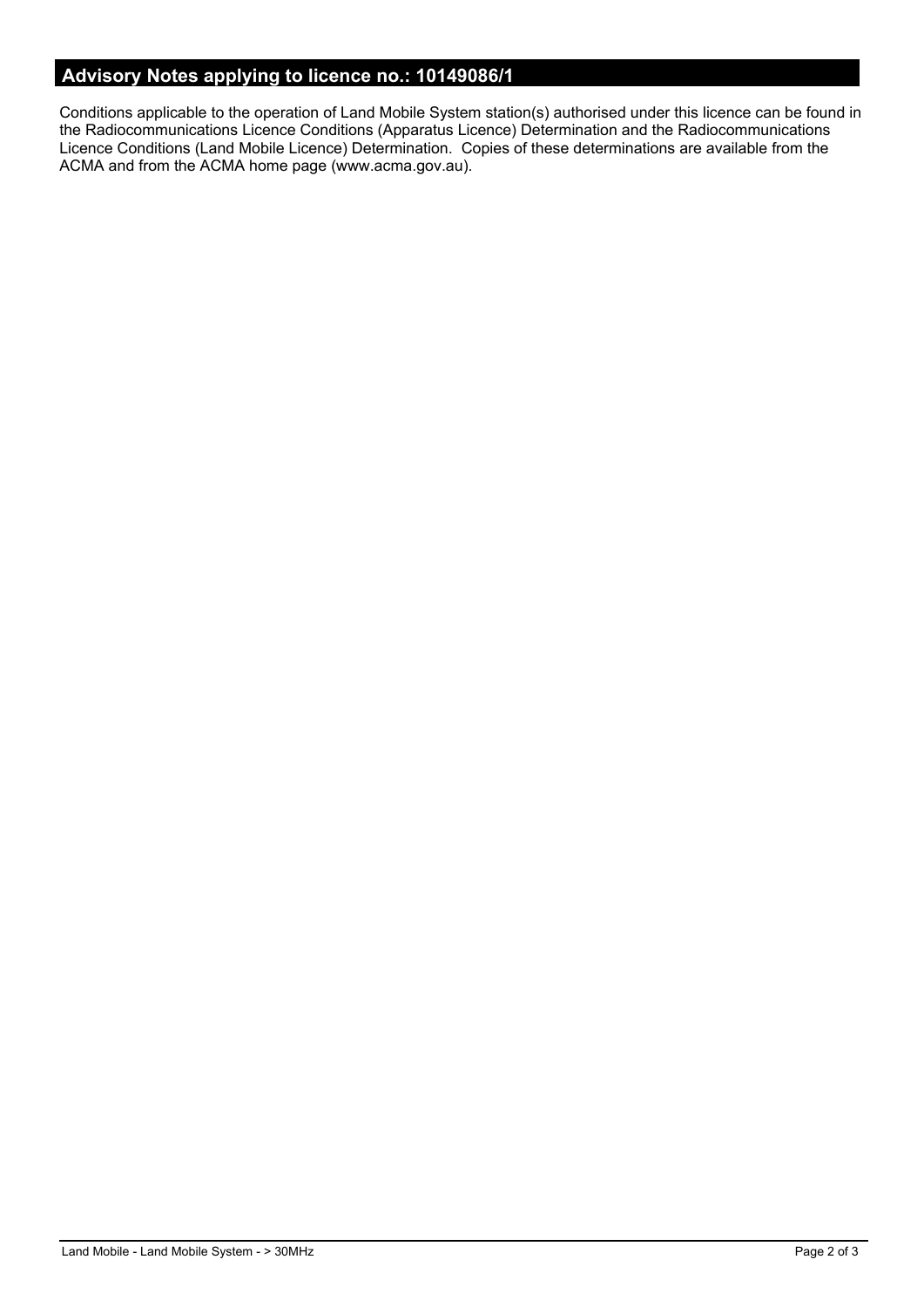# **Advisory Notes applying to licence no.: 10149086/1**

Conditions applicable to the operation of Land Mobile System station(s) authorised under this licence can be found in the Radiocommunications Licence Conditions (Apparatus Licence) Determination and the Radiocommunications Licence Conditions (Land Mobile Licence) Determination. Copies of these determinations are available from the ACMA and from the ACMA home page (www.acma.gov.au).